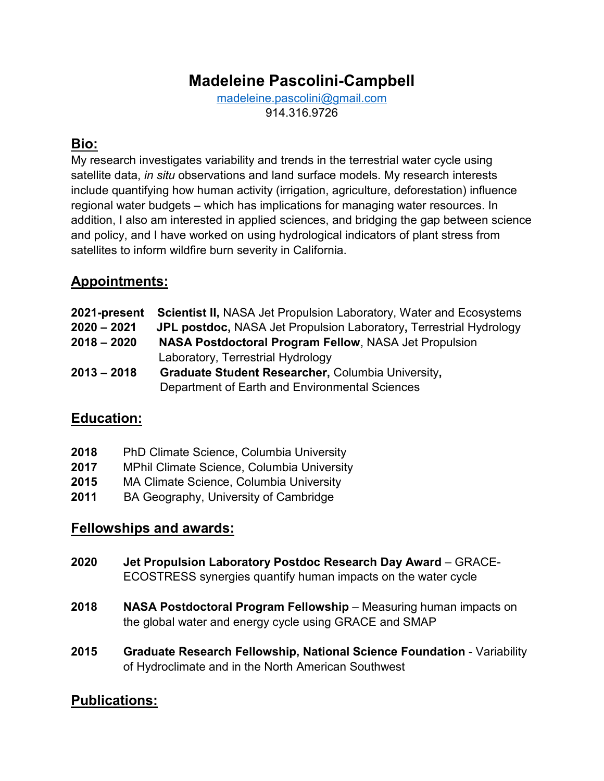# **Madeleine Pascolini-Campbell**

[madeleine.pascolini@gmail.com](mailto:madeleine.pascolini@gmail.com) 914.316.9726

## **Bio:**

My research investigates variability and trends in the terrestrial water cycle using satellite data, *in situ* observations and land surface models. My research interests include quantifying how human activity (irrigation, agriculture, deforestation) influence regional water budgets – which has implications for managing water resources. In addition, I also am interested in applied sciences, and bridging the gap between science and policy, and I have worked on using hydrological indicators of plant stress from satellites to inform wildfire burn severity in California.

## **Appointments:**

| 2021-present  | <b>Scientist II, NASA Jet Propulsion Laboratory, Water and Ecosystems</b> |
|---------------|---------------------------------------------------------------------------|
| $2020 - 2021$ | JPL postdoc, NASA Jet Propulsion Laboratory, Terrestrial Hydrology        |
| $2018 - 2020$ | <b>NASA Postdoctoral Program Fellow, NASA Jet Propulsion</b>              |
|               | Laboratory, Terrestrial Hydrology                                         |
| $2013 - 2018$ | Graduate Student Researcher, Columbia University,                         |
|               | Department of Earth and Environmental Sciences                            |

## **Education:**

| 2018<br><b>PhD Climate Science, Columbia University</b> |  |
|---------------------------------------------------------|--|
|---------------------------------------------------------|--|

- **2017** MPhil Climate Science, Columbia University
- **2015** MA Climate Science, Columbia University
- **2011** BA Geography, University of Cambridge

## **Fellowships and awards:**

- **2020 Jet Propulsion Laboratory Postdoc Research Day Award** GRACE-ECOSTRESS synergies quantify human impacts on the water cycle
- **2018 NASA Postdoctoral Program Fellowship** Measuring human impacts on the global water and energy cycle using GRACE and SMAP
- **2015 Graduate Research Fellowship, National Science Foundation** Variability of Hydroclimate and in the North American Southwest

## **Publications:**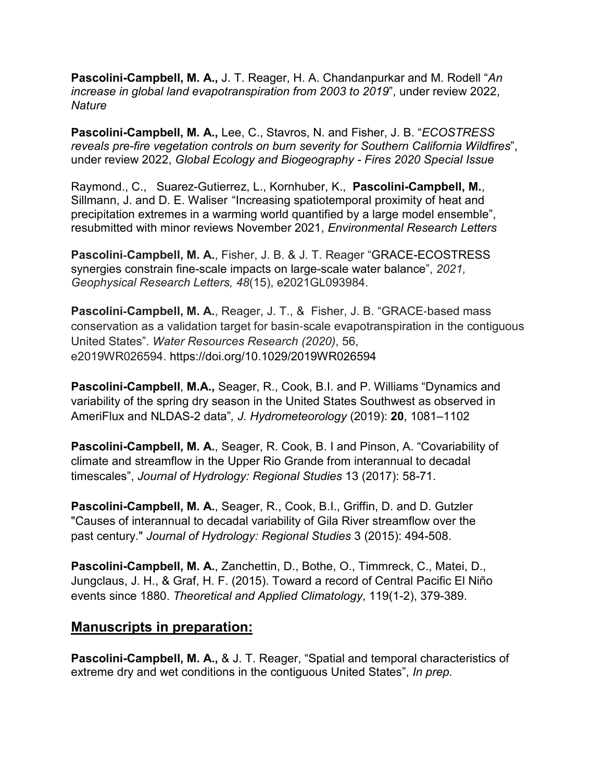**Pascolini-Campbell, M. A.,** J. T. Reager, H. A. Chandanpurkar and M. Rodell "*An increase in global land evapotranspiration from 2003 to 2019*", under review 2022, *Nature*

**Pascolini-Campbell, M. A.,** Lee, C., Stavros, N. and Fisher, J. B. "*ECOSTRESS reveals pre-fire vegetation controls on burn severity for Southern California Wildfires*", under review 2022, *Global Ecology and Biogeography - Fires 2020 Special Issue*

Raymond., C., Suarez-Gutierrez, L., Kornhuber, K., **Pascolini-Campbell, M.**, Sillmann, J. and D. E. Waliser "Increasing spatiotemporal proximity of heat and precipitation extremes in a warming world quantified by a large model ensemble", resubmitted with minor reviews November 2021, *Environmental Research Letters*

**Pascolini**‐**Campbell, M. A.**, Fisher, J. B. & J. T. Reager "GRACE-ECOSTRESS synergies constrain fine-scale impacts on large-scale water balance", *2021, Geophysical Research Letters, 48*(15), e2021GL093984.

**Pascolini**‐**Campbell, M. A.**, Reager, J. T., & Fisher, J. B. "GRACE‐based mass conservation as a validation target for basin‐scale evapotranspiration in the contiguous United States". *Water Resources Research (2020)*, 56, e2019WR026594. https://doi.org/10.1029/2019WR026594

**Pascolini-Campbell**, **M.A.,** Seager, R., Cook, B.I. and P. Williams "Dynamics and variability of the spring dry season in the United States Southwest as observed in AmeriFlux and NLDAS-2 data"*, J. Hydrometeorology* (2019): **20**, 1081–1102

**Pascolini-Campbell, M. A.**, Seager, R. Cook, B. I and Pinson, A. "Covariability of climate and streamflow in the Upper Rio Grande from interannual to decadal timescales", *Journal of Hydrology: Regional Studies* 13 (2017): 58-71.

**Pascolini-Campbell, M. A.**, Seager, R., Cook, B.I., Griffin, D. and D. Gutzler "Causes of interannual to decadal variability of Gila River streamflow over the past century." *Journal of Hydrology: Regional Studies* 3 (2015): 494-508.

**Pascolini-Campbell, M. A.**, Zanchettin, D., Bothe, O., Timmreck, C., Matei, D., Jungclaus, J. H., & Graf, H. F. (2015). Toward a record of Central Pacific El Niño events since 1880. *Theoretical and Applied Climatology*, 119(1-2), 379-389.

#### **Manuscripts in preparation:**

**Pascolini-Campbell, M. A.,** & J. T. Reager, "Spatial and temporal characteristics of extreme dry and wet conditions in the contiguous United States", *In prep.*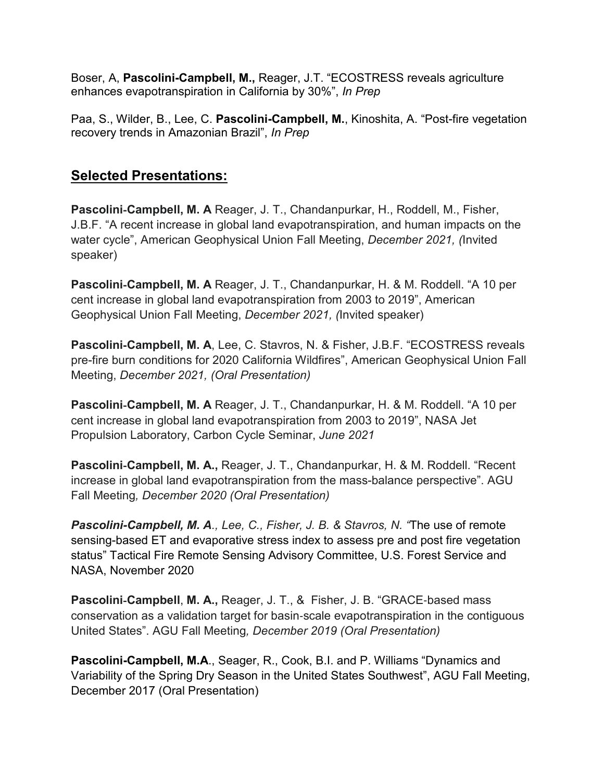Boser, A, **Pascolini-Campbell, M.,** Reager, J.T. "ECOSTRESS reveals agriculture enhances evapotranspiration in California by 30%", *In Prep*

Paa, S., Wilder, B., Lee, C. **Pascolini-Campbell, M.**, Kinoshita, A. "Post-fire vegetation recovery trends in Amazonian Brazil", *In Prep* 

## **Selected Presentations:**

**Pascolini**‐**Campbell, M. A** Reager, J. T., Chandanpurkar, H., Roddell, M., Fisher, J.B.F. "A recent increase in global land evapotranspiration, and human impacts on the water cycle", American Geophysical Union Fall Meeting, *December 2021, (*Invited speaker)

**Pascolini**‐**Campbell, M. A** Reager, J. T., Chandanpurkar, H. & M. Roddell. "A 10 per cent increase in global land evapotranspiration from 2003 to 2019", American Geophysical Union Fall Meeting, *December 2021, (*Invited speaker)

**Pascolini**‐**Campbell, M. A**, Lee, C. Stavros, N. & Fisher, J.B.F. "ECOSTRESS reveals pre-fire burn conditions for 2020 California Wildfires", American Geophysical Union Fall Meeting, *December 2021, (Oral Presentation)*

**Pascolini**‐**Campbell, M. A** Reager, J. T., Chandanpurkar, H. & M. Roddell. "A 10 per cent increase in global land evapotranspiration from 2003 to 2019", NASA Jet Propulsion Laboratory, Carbon Cycle Seminar, *June 2021*

**Pascolini**‐**Campbell, M. A.,** Reager, J. T., Chandanpurkar, H. & M. Roddell. "Recent increase in global land evapotranspiration from the mass-balance perspective". AGU Fall Meeting*, December 2020 (Oral Presentation)*

*Pascolini-Campbell, M. A., Lee, C., Fisher, J. B. & Stavros, N. "*The use of remote sensing-based ET and evaporative stress index to assess pre and post fire vegetation status" Tactical Fire Remote Sensing Advisory Committee, U.S. Forest Service and NASA, November 2020

**Pascolini**‐**Campbell**, **M. A.,** Reager, J. T., & Fisher, J. B. "GRACE‐based mass conservation as a validation target for basin‐scale evapotranspiration in the contiguous United States". AGU Fall Meeting*, December 2019 (Oral Presentation)*

**Pascolini-Campbell, M.A**., Seager, R., Cook, B.I. and P. Williams "Dynamics and Variability of the Spring Dry Season in the United States Southwest", AGU Fall Meeting, December 2017 (Oral Presentation)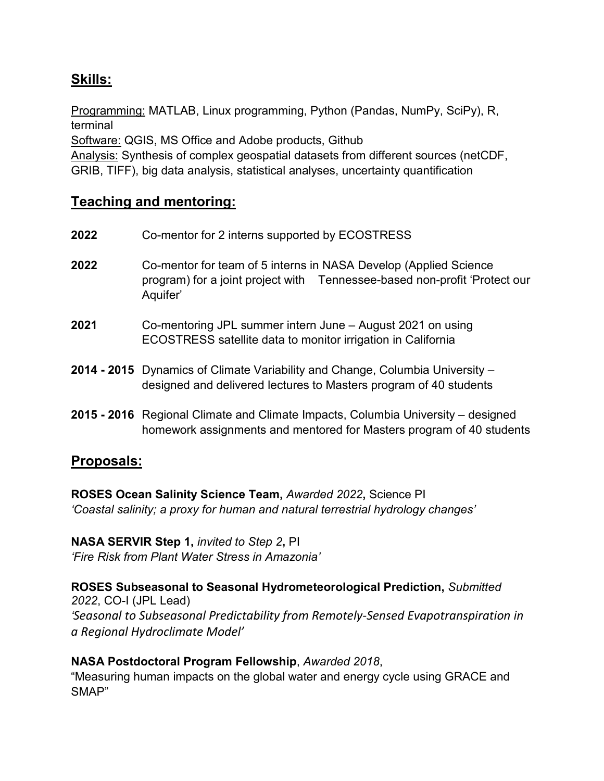## **Skills:**

Programming: MATLAB, Linux programming, Python (Pandas, NumPy, SciPy), R, terminal

Software: QGIS, MS Office and Adobe products, Github

Analysis: Synthesis of complex geospatial datasets from different sources (netCDF, GRIB, TIFF), big data analysis, statistical analyses, uncertainty quantification

## **Teaching and mentoring:**

| 2022 | Co-mentor for 2 interns supported by ECOSTRESS                                                                                                            |
|------|-----------------------------------------------------------------------------------------------------------------------------------------------------------|
| 2022 | Co-mentor for team of 5 interns in NASA Develop (Applied Science<br>program) for a joint project with Tennessee-based non-profit 'Protect our<br>Aquifer' |
| 2021 | Co-mentoring JPL summer intern June – August 2021 on using<br>ECOSTRESS satellite data to monitor irrigation in California                                |

- **2014 - 2015** Dynamics of Climate Variability and Change, Columbia University designed and delivered lectures to Masters program of 40 students
- **2015 - 2016** Regional Climate and Climate Impacts, Columbia University designed homework assignments and mentored for Masters program of 40 students

## **Proposals:**

**ROSES Ocean Salinity Science Team,** *Awarded 2022***,** Science PI *'Coastal salinity; a proxy for human and natural terrestrial hydrology changes'*

**NASA SERVIR Step 1,** *invited to Step 2***,** PI *'Fire Risk from Plant Water Stress in Amazonia'*

**ROSES Subseasonal to Seasonal Hydrometeorological Prediction,** *Submitted 2022*, CO-I (JPL Lead) *'Seasonal to Subseasonal Predictability from Remotely-Sensed Evapotranspiration in a Regional Hydroclimate Model'*

#### **NASA Postdoctoral Program Fellowship**, *Awarded 2018*,

"Measuring human impacts on the global water and energy cycle using GRACE and SMAP"